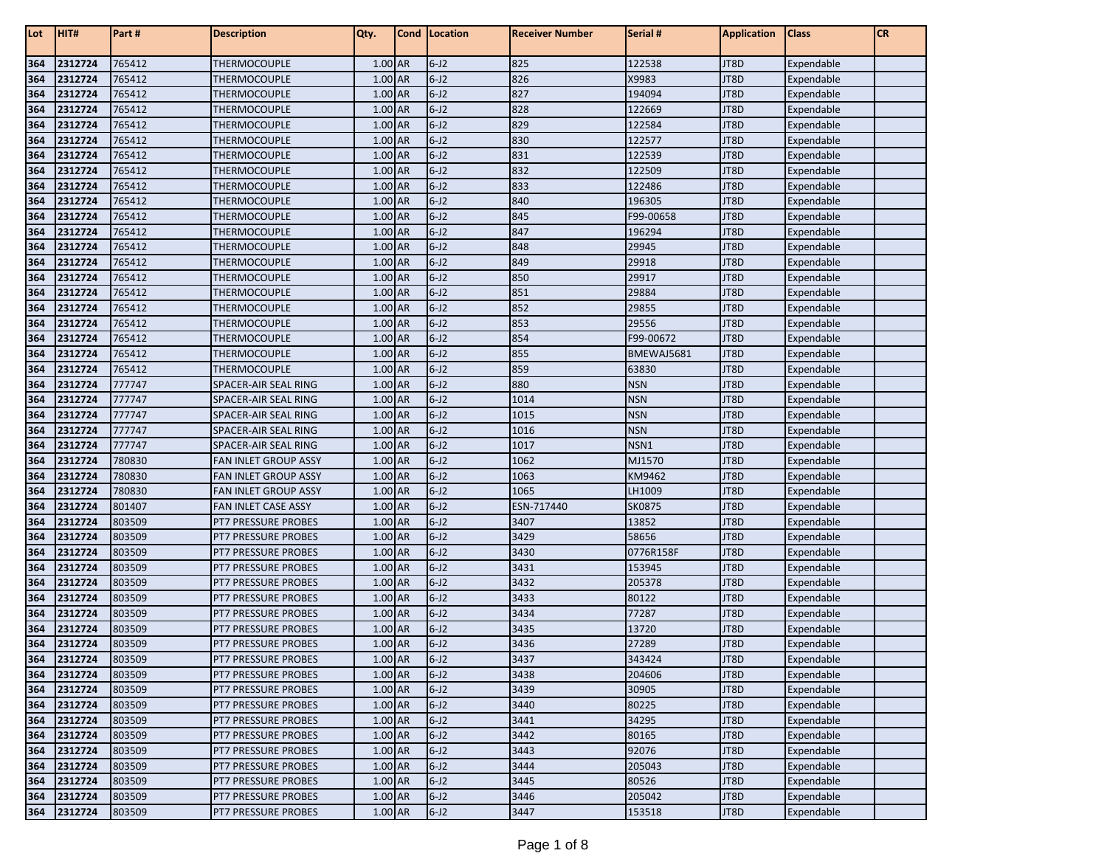| Lot        | HIT#               | Part #           | <b>Description</b>                                       | Qty.               | Cond | Location             | <b>Receiver Number</b> | Serial #            | <b>Application</b> | <b>Class</b>             | <b>CR</b> |
|------------|--------------------|------------------|----------------------------------------------------------|--------------------|------|----------------------|------------------------|---------------------|--------------------|--------------------------|-----------|
| 364        | 2312724            | 765412           | THERMOCOUPLE                                             | 1.00 AR            |      | $6 - J2$             | 825                    | 122538              | JT8D               | Expendable               |           |
| 364        | 2312724            | 765412           | THERMOCOUPLE                                             | 1.00 AR            |      | $6 - J2$             | 826                    | X9983               | JT8D               | Expendable               |           |
| 364        | 2312724            | 765412           | THERMOCOUPLE                                             | 1.00 AR            |      | $6 - J2$             | 827                    | 194094              | JT8D               | Expendable               |           |
| 364        | 2312724            | 765412           | THERMOCOUPLE                                             | 1.00 AR            |      | $6 - J2$             | 828                    | 122669              | JT8D               | Expendable               |           |
| 364        | 2312724            | 765412           | THERMOCOUPLE                                             | 1.00 AR            |      | $6 - J2$             | 829                    | 122584              | JT8D               | Expendable               |           |
| 364        | 2312724            | 765412           | THERMOCOUPLE                                             | 1.00 AR            |      | $6 - J2$             | 830                    | 122577              | JT8D               | Expendable               |           |
| 364        | 2312724            | 765412           | THERMOCOUPLE                                             | 1.00 AR            |      | $6 - J2$             | 831                    | 122539              | JT8D               | Expendable               |           |
| 364        | 2312724            | 765412           | THERMOCOUPLE                                             | 1.00 AR            |      | $6 - J2$             | 832                    | 122509              | JT8D               | Expendable               |           |
| 364        | 2312724            | 765412           | THERMOCOUPLE                                             | 1.00 AR            |      | $6 - J2$             | 833                    | 122486              | JT8D               | Expendable               |           |
| 364        | 2312724            | 765412           | THERMOCOUPLE                                             | 1.00 AR            |      | $6 - J2$             | 840                    | 196305              | JT8D               | Expendable               |           |
| 364        | 2312724            | 765412           | <b>THERMOCOUPLE</b>                                      | 1.00 AR            |      | $6 - J2$             | 845                    | F99-00658           | JT8D               | Expendable               |           |
| 364        | 2312724            | 765412           | THERMOCOUPLE                                             | 1.00 AR            |      | $6 - J2$             | 847                    | 196294              | JT8D               | Expendable               |           |
| 364        | 2312724            | 765412           | THERMOCOUPLE                                             | 1.00 AR            |      | $6 - J2$             | 848                    | 29945               | JT8D               | Expendable               |           |
| 364        | 2312724            | 765412           | THERMOCOUPLE                                             | 1.00 AR            |      | $6 - J2$             | 849                    | 29918               | JT8D               | Expendable               |           |
| 364        | 2312724            | 765412           | THERMOCOUPLE                                             | 1.00 AR            |      | $6 - J2$             | 850                    | 29917               | JT8D               | Expendable               |           |
| 364        | 2312724            | 765412           | THERMOCOUPLE                                             | 1.00 AR            |      | $6 - J2$             | 851                    | 29884               | JT8D               | Expendable               |           |
| 364        | 2312724            | 765412           | THERMOCOUPLE                                             | 1.00 AR            |      | $6 - J2$             | 852                    | 29855               | JT8D               | Expendable               |           |
| 364        | 2312724            | 765412           | THERMOCOUPLE                                             | 1.00 AR            |      | $6 - J2$             | 853                    | 29556               | JT8D               | Expendable               |           |
| 364        | 2312724            | 765412           | THERMOCOUPLE                                             | 1.00 AR            |      | $6 - J2$             | 854                    | F99-00672           | JT8D               | Expendable               |           |
| 364        | 2312724            | 765412           | THERMOCOUPLE                                             | 1.00 AR            |      | $6 - J2$             | 855                    | BMEWAJ5681          | JT8D               | Expendable               |           |
| 364        | 2312724            | 765412           | THERMOCOUPLE                                             | 1.00 AR            |      | $6 - J2$             | 859                    | 63830               | JT8D               | Expendable               |           |
| 364        | 2312724            | 777747           | SPACER-AIR SEAL RING                                     | 1.00 AR            |      | $6 - J2$             | 880                    | <b>NSN</b>          | JT8D               | Expendable               |           |
| 364        | 2312724            | 777747           | <b>SPACER-AIR SEAL RING</b>                              | 1.00 AR            |      | $6 - J2$             | 1014                   | <b>NSN</b>          | JT8D               | Expendable               |           |
| 364        | 2312724            | 777747           | SPACER-AIR SEAL RING                                     | 1.00 AR            |      | $6 - J2$             | 1015                   | <b>NSN</b>          | JT8D               | Expendable               |           |
| 364        | 2312724            | 777747           | <b>SPACER-AIR SEAL RING</b>                              | $1.00$ AR          |      | $6 - J2$             | 1016                   | <b>NSN</b>          | JT8D               | Expendable               |           |
| 364        | 2312724            | 777747           | SPACER-AIR SEAL RING                                     | 1.00 AR            |      | $6 - J2$             | 1017                   | NSN1                | JT8D               | Expendable               |           |
| 364        | 2312724            | 780830           | <b>FAN INLET GROUP ASSY</b>                              | 1.00 AR            |      | $6 - J2$             | 1062                   | MJ1570              | JT8D               | Expendable               |           |
| 364        | 2312724            | 780830           | <b>FAN INLET GROUP ASSY</b>                              | 1.00 AR            |      | $6 - J2$             | 1063                   | KM9462              | JT8D               | Expendable               |           |
| 364        | 2312724            | 780830           | <b>FAN INLET GROUP ASSY</b>                              | 1.00 AR            |      | $6 - J2$             | 1065                   | LH1009              | JT8D               | Expendable               |           |
| 364        | 2312724            | 801407           | FAN INLET CASE ASSY                                      | 1.00 AR            |      | $6 - J2$             | ESN-717440             | <b>SK0875</b>       | JT8D               | Expendable               |           |
| 364        | 2312724            | 803509           | <b>PT7 PRESSURE PROBES</b>                               | 1.00 AR            |      | $6 - J2$             | 3407                   | 13852               | JT8D               | Expendable               |           |
| 364        | 2312724            | 803509           | <b>PT7 PRESSURE PROBES</b>                               | 1.00 AR            |      | $6 - J2$             | 3429                   | 58656               | JT8D               | Expendable               |           |
| 364        | 2312724<br>2312724 | 803509<br>803509 | <b>PT7 PRESSURE PROBES</b>                               | 1.00 AR<br>1.00 AR |      | $6 - J2$<br>$6 - J2$ | 3430<br>3431           | 0776R158F<br>153945 | JT8D<br>JT8D       | Expendable               |           |
| 364<br>364 | 2312724            | 803509           | <b>PT7 PRESSURE PROBES</b><br><b>PT7 PRESSURE PROBES</b> | 1.00 AR            |      | $6 - J2$             | 3432                   | 205378              | JT8D               | Expendable<br>Expendable |           |
| 364        | 2312724            | 803509           | PT7 PRESSURE PROBES                                      | $1.00$ AR          |      | $6 - J2$             | 3433                   | 80122               | JT8D               | Expendable               |           |
| 364        | 2312724            | 803509           | <b>PT7 PRESSURE PROBES</b>                               | 1.00 AR            |      | $6 - J2$             | 3434                   | 77287               | JT8D               | Expendable               |           |
| 364        | 2312724            | 803509           | PT7 PRESSURE PROBES                                      | 1.00 AR            |      | $6 - J2$             | 3435                   | 13720               | JT8D               |                          |           |
| 364        | 2312724            | 803509           | PT7 PRESSURE PROBES                                      | $1.00$ AR          |      | $6 - J2$             | 3436                   | 27289               | JT8D               | Expendable<br>Expendable |           |
| 364        | 2312724            | 803509           | <b>PT7 PRESSURE PROBES</b>                               | 1.00 AR            |      | $6 - J2$             | 3437                   | 343424              | JT8D               | Expendable               |           |
| 364        | 2312724            | 803509           | PT7 PRESSURE PROBES                                      | $1.00$ AR          |      | $6 - J2$             | 3438                   | 204606              | JT8D               | Expendable               |           |
| 364        | 2312724            | 803509           | PT7 PRESSURE PROBES                                      | 1.00 AR            |      | $6 - J2$             | 3439                   | 30905               | JT8D               | Expendable               |           |
| 364        | 2312724            | 803509           | PT7 PRESSURE PROBES                                      | 1.00 AR            |      | $6-J2$               | 3440                   | 80225               | JT8D               | Expendable               |           |
| 364        | 2312724            | 803509           | PT7 PRESSURE PROBES                                      | 1.00 AR            |      | $6-J2$               | 3441                   | 34295               | JT8D               | Expendable               |           |
| 364        | 2312724            | 803509           | <b>PT7 PRESSURE PROBES</b>                               | 1.00 AR            |      | $6-J2$               | 3442                   | 80165               | JT8D               | Expendable               |           |
| 364        | 2312724            | 803509           | PT7 PRESSURE PROBES                                      | 1.00 AR            |      | $6 - J2$             | 3443                   | 92076               | JT8D               | Expendable               |           |
| 364        | 2312724            | 803509           | <b>PT7 PRESSURE PROBES</b>                               | 1.00 AR            |      | $6 - J2$             | 3444                   | 205043              | JT8D               | Expendable               |           |
| 364        | 2312724            | 803509           | <b>PT7 PRESSURE PROBES</b>                               | 1.00 AR            |      | $6 - J2$             | 3445                   | 80526               | JT8D               | Expendable               |           |
| 364        | 2312724            | 803509           | <b>PT7 PRESSURE PROBES</b>                               | 1.00 AR            |      | $6 - J2$             | 3446                   | 205042              | JT8D               | Expendable               |           |
| 364        | 2312724            | 803509           | PT7 PRESSURE PROBES                                      | 1.00 AR            |      | $6 - J2$             | 3447                   | 153518              | JT8D               | Expendable               |           |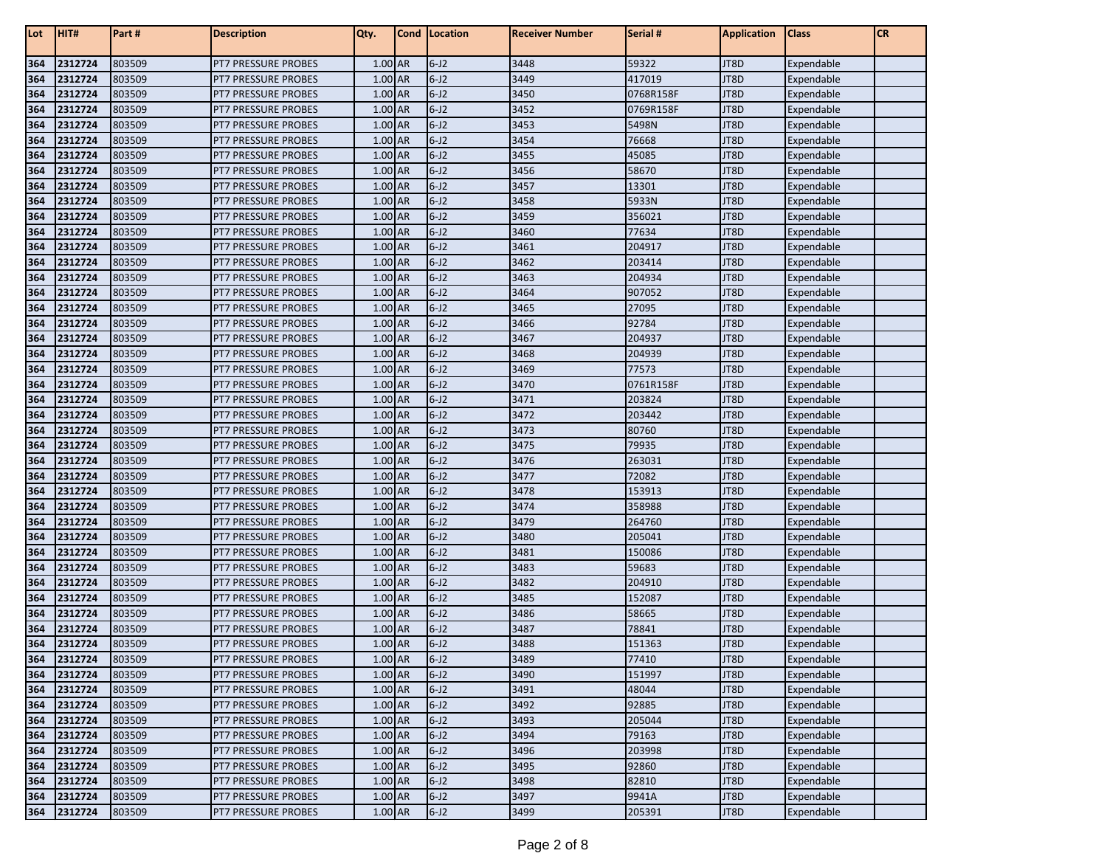| Lot        | HIT#               | Part #           | <b>Description</b>                                | Qty.               | Cond | Location             | <b>Receiver Number</b> | Serial #        | <b>Application</b> | <b>Class</b>             | <b>CR</b> |
|------------|--------------------|------------------|---------------------------------------------------|--------------------|------|----------------------|------------------------|-----------------|--------------------|--------------------------|-----------|
| 364        | 2312724            | 803509           | <b>PT7 PRESSURE PROBES</b>                        | 1.00 AR            |      | $6 - J2$             | 3448                   | 59322           | JT8D               | Expendable               |           |
| 364        | 2312724            | 803509           | <b>PT7 PRESSURE PROBES</b>                        | 1.00 AR            |      | $6 - J2$             | 3449                   | 417019          | JT8D               | Expendable               |           |
| 364        | 2312724            | 803509           | <b>PT7 PRESSURE PROBES</b>                        | 1.00 AR            |      | $6 - J2$             | 3450                   | 0768R158F       | JT8D               | Expendable               |           |
| 364        | 2312724            | 803509           | <b>PT7 PRESSURE PROBES</b>                        | 1.00 AR            |      | $6 - J2$             | 3452                   | 0769R158F       | JT8D               | Expendable               |           |
| 364        | 2312724            | 803509           | <b>PT7 PRESSURE PROBES</b>                        | 1.00 AR            |      | $6 - J2$             | 3453                   | 5498N           | JT8D               | Expendable               |           |
| 364        | 2312724            | 803509           | <b>PT7 PRESSURE PROBES</b>                        | 1.00 AR            |      | $6 - J2$             | 3454                   | 76668           | JT8D               | Expendable               |           |
| 364        | 2312724            | 803509           | <b>PT7 PRESSURE PROBES</b>                        | 1.00 AR            |      | $6 - J2$             | 3455                   | 45085           | JT8D               | Expendable               |           |
| 364        | 2312724            | 803509           | <b>PT7 PRESSURE PROBES</b>                        | 1.00 AR            |      | $6 - J2$             | 3456                   | 58670           | JT8D               | Expendable               |           |
| 364        | 2312724            | 803509           | <b>PT7 PRESSURE PROBES</b>                        | 1.00 AR            |      | $6 - J2$             | 3457                   | 13301           | JT8D               | Expendable               |           |
| 364        | 2312724            | 803509           | <b>PT7 PRESSURE PROBES</b>                        | 1.00 AR            |      | $6 - J2$             | 3458                   | 5933N           | JT8D               | Expendable               |           |
| 364        | 2312724            | 803509           | PT7 PRESSURE PROBES                               | 1.00 AR            |      | $6 - J2$             | 3459                   | 356021          | JT8D               | Expendable               |           |
| 364        | 2312724            | 803509           | <b>PT7 PRESSURE PROBES</b>                        | 1.00 AR            |      | $6 - J2$             | 3460                   | 77634           | JT8D               | Expendable               |           |
| 364        | 2312724            | 803509           | PT7 PRESSURE PROBES                               | 1.00 AR            |      | $6 - J2$             | 3461                   | 204917          | JT8D               | Expendable               |           |
| 364        | 2312724            | 803509           | PT7 PRESSURE PROBES                               | 1.00 AR            |      | $6 - J2$             | 3462                   | 203414          | JT8D               | Expendable               |           |
| 364        | 2312724            | 803509           | <b>PT7 PRESSURE PROBES</b>                        | 1.00 AR            |      | $6 - J2$             | 3463                   | 204934          | JT8D               | Expendable               |           |
| 364        | 2312724            | 803509           | <b>PT7 PRESSURE PROBES</b>                        | 1.00 AR            |      | $6 - J2$             | 3464                   | 907052          | JT8D               | Expendable               |           |
| 364        | 2312724            | 803509           | <b>PT7 PRESSURE PROBES</b>                        | 1.00 AR            |      | $6 - J2$             | 3465                   | 27095           | JT8D               | Expendable               |           |
| 364        | 2312724            | 803509           | <b>PT7 PRESSURE PROBES</b>                        | 1.00 AR            |      | $6 - J2$             | 3466                   | 92784           | JT8D               | Expendable               |           |
| 364        | 2312724            | 803509           | <b>PT7 PRESSURE PROBES</b>                        | 1.00 AR            |      | $6 - J2$             | 3467                   | 204937          | JT8D               | Expendable               |           |
| 364        | 2312724            | 803509           | <b>PT7 PRESSURE PROBES</b>                        | 1.00 AR            |      | $6-J2$               | 3468                   | 204939          | JT8D               | Expendable               |           |
| 364        | 2312724            | 803509           | <b>PT7 PRESSURE PROBES</b>                        | 1.00 AR            |      | $6 - J2$             | 3469                   | 77573           | JT8D               | Expendable               |           |
| 364        | 2312724            | 803509           | <b>PT7 PRESSURE PROBES</b>                        | 1.00 AR            |      | $6 - J2$             | 3470                   | 0761R158F       | JT8D               | Expendable               |           |
| 364        | 2312724            | 803509           | <b>PT7 PRESSURE PROBES</b>                        | 1.00 AR            |      | $6 - J2$             | 3471                   | 203824          | JT8D               | Expendable               |           |
| 364        | 2312724            | 803509           | <b>PT7 PRESSURE PROBES</b>                        | 1.00 AR            |      | $6 - J2$             | 3472                   | 203442          | JT8D               | Expendable               |           |
| 364        | 2312724            | 803509           | PT7 PRESSURE PROBES                               | $1.00$ AR          |      | $6 - J2$             | 3473                   | 80760           | JT8D               | Expendable               |           |
| 364        | 2312724            | 803509           | <b>PT7 PRESSURE PROBES</b>                        | 1.00 AR            |      | $6-J2$               | 3475                   | 79935           | JT8D               | Expendable               |           |
| 364        | 2312724            | 803509           | <b>PT7 PRESSURE PROBES</b>                        | 1.00 AR            |      | $6 - J2$             | 3476                   | 263031          | JT8D               | Expendable               |           |
| 364        | 2312724            | 803509           | <b>PT7 PRESSURE PROBES</b>                        | 1.00 AR            |      | $6 - J2$             | 3477                   | 72082           | JT8D               | Expendable               |           |
| 364        | 2312724            | 803509           | <b>PT7 PRESSURE PROBES</b>                        | 1.00 AR            |      | $6 - J2$             | 3478                   | 153913          | JT8D               | Expendable               |           |
| 364        | 2312724            | 803509           | <b>PT7 PRESSURE PROBES</b>                        | 1.00 AR            |      | $6 - J2$             | 3474                   | 358988          | JT8D               | Expendable               |           |
| 364        | 2312724            | 803509           | <b>PT7 PRESSURE PROBES</b>                        | 1.00 AR            |      | $6-J2$               | 3479                   | 264760          | JT8D               | Expendable               |           |
| 364        | 2312724            | 803509           | <b>PT7 PRESSURE PROBES</b>                        | 1.00 AR            |      | $6 - J2$             | 3480                   | 205041          | JT8D               | Expendable               |           |
| 364        | 2312724            | 803509           | <b>PT7 PRESSURE PROBES</b>                        | 1.00 AR            |      | $6-J2$               | 3481<br>3483           | 150086          | JT8D               | Expendable               |           |
| 364        | 2312724            | 803509<br>803509 | <b>PT7 PRESSURE PROBES</b>                        | 1.00 AR<br>1.00 AR |      | $6 - J2$<br>$6 - J2$ | 3482                   | 59683<br>204910 | JT8D<br>JT8D       | Expendable               |           |
| 364<br>364 | 2312724<br>2312724 | 803509           | <b>PT7 PRESSURE PROBES</b><br>PT7 PRESSURE PROBES | $1.00$ AR          |      | $6 - J2$             | 3485                   | 152087          | JT8D               | Expendable               |           |
| 364        | 2312724            | 803509           | <b>PT7 PRESSURE PROBES</b>                        | 1.00 AR            |      | $6-J2$               | 3486                   | 58665           | JT8D               | Expendable<br>Expendable |           |
| 364        | 2312724            | 803509           | PT7 PRESSURE PROBES                               | 1.00 AR            |      | $6-J2$               | 3487                   | 78841           | JT8D               |                          |           |
| 364        | 2312724            | 803509           | PT7 PRESSURE PROBES                               | 1.00 AR            |      | $6 - J2$             | 3488                   | 151363          | JT8D               | Expendable<br>Expendable |           |
| 364        | 2312724            | 803509           | <b>PT7 PRESSURE PROBES</b>                        | 1.00 AR            |      | $6 - J2$             | 3489                   | 77410           | JT8D               | Expendable               |           |
| 364        | 2312724            | 803509           | PT7 PRESSURE PROBES                               | 1.00 AR            |      | $6 - J2$             | 3490                   | 151997          | JT8D               | Expendable               |           |
| 364        | 2312724            | 803509           | PT7 PRESSURE PROBES                               | 1.00 AR            |      | $6 - J2$             | 3491                   | 48044           | JT8D               | Expendable               |           |
| 364        | 2312724            | 803509           | PT7 PRESSURE PROBES                               | 1.00 AR            |      | $6-J2$               | 3492                   | 92885           | JT8D               | Expendable               |           |
| 364        | 2312724            | 803509           | PT7 PRESSURE PROBES                               | 1.00 AR            |      | $6-J2$               | 3493                   | 205044          | JT8D               | Expendable               |           |
| 364        | 2312724            | 803509           | <b>PT7 PRESSURE PROBES</b>                        | 1.00 AR            |      | $6 - J2$             | 3494                   | 79163           | JT8D               | Expendable               |           |
| 364        | 2312724            | 803509           | PT7 PRESSURE PROBES                               | 1.00 AR            |      | $6 - J2$             | 3496                   | 203998          | JT8D               | Expendable               |           |
| 364        | 2312724            | 803509           | <b>PT7 PRESSURE PROBES</b>                        | 1.00 AR            |      | $6 - J2$             | 3495                   | 92860           | JT8D               | Expendable               |           |
| 364        | 2312724            | 803509           | <b>PT7 PRESSURE PROBES</b>                        | 1.00 AR            |      | $6 - J2$             | 3498                   | 82810           | JT8D               | Expendable               |           |
| 364        | 2312724            | 803509           | <b>PT7 PRESSURE PROBES</b>                        | 1.00 AR            |      | $6 - J2$             | 3497                   | 9941A           | JT8D               | Expendable               |           |
| 364        | 2312724            | 803509           | PT7 PRESSURE PROBES                               | 1.00 AR            |      | $6 - J2$             | 3499                   | 205391          | JT8D               | Expendable               |           |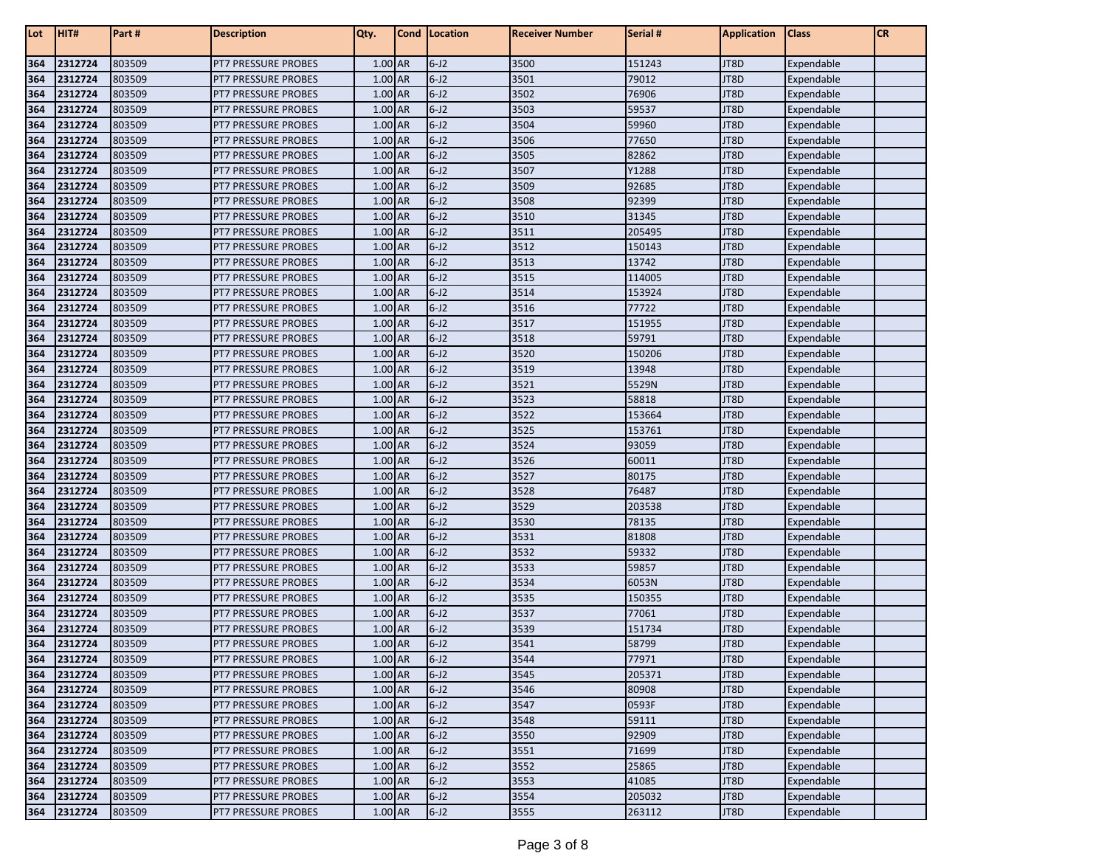| Lot        | HIT#               | Part #           | <b>Description</b>                         | Qty.                 | Cond | Location             | <b>Receiver Number</b> | Serial #        | <b>Application</b> | <b>Class</b>             | <b>CR</b> |
|------------|--------------------|------------------|--------------------------------------------|----------------------|------|----------------------|------------------------|-----------------|--------------------|--------------------------|-----------|
| 364        | 2312724            | 803509           | PT7 PRESSURE PROBES                        | 1.00 AR              |      | $6-J2$               | 3500                   | 151243          | JT8D               | Expendable               |           |
| 364        | 2312724            | 803509           | <b>PT7 PRESSURE PROBES</b>                 | 1.00 AR              |      | $6 - J2$             | 3501                   | 79012           | JT8D               | Expendable               |           |
| 364        | 2312724            | 803509           | <b>PT7 PRESSURE PROBES</b>                 | 1.00 AR              |      | $6-J2$               | 3502                   | 76906           | JT8D               | Expendable               |           |
| 364        | 2312724            | 803509           | <b>PT7 PRESSURE PROBES</b>                 | 1.00 AR              |      | $6-J2$               | 3503                   | 59537           | JT8D               | Expendable               |           |
| 364        | 2312724            | 803509           | <b>PT7 PRESSURE PROBES</b>                 | 1.00 AR              |      | $6-J2$               | 3504                   | 59960           | JT8D               | Expendable               |           |
| 364        | 2312724            | 803509           | <b>PT7 PRESSURE PROBES</b>                 | 1.00 AR              |      | $6 - J2$             | 3506                   | 77650           | JT8D               | Expendable               |           |
| 364        | 2312724            | 803509           | <b>PT7 PRESSURE PROBES</b>                 | 1.00 AR              |      | $6 - J2$             | 3505                   | 82862           | JT8D               | Expendable               |           |
| 364        | 2312724            | 803509           | <b>PT7 PRESSURE PROBES</b>                 | 1.00 AR              |      | $6 - J2$             | 3507                   | Y1288           | JT8D               | Expendable               |           |
| 364        | 2312724            | 803509           | <b>PT7 PRESSURE PROBES</b>                 | 1.00 AR              |      | $6-J2$               | 3509                   | 92685           | JT8D               | Expendable               |           |
| 364        | 2312724            | 803509           | <b>PT7 PRESSURE PROBES</b>                 | 1.00 AR              |      | $6 - J2$             | 3508                   | 92399           | JT8D               | Expendable               |           |
| 364        | 2312724            | 803509           | <b>PT7 PRESSURE PROBES</b>                 | 1.00 AR              |      | $6 - J2$             | 3510                   | 31345           | JT8D               | Expendable               |           |
| 364        | 2312724            | 803509           | <b>PT7 PRESSURE PROBES</b>                 | 1.00 AR              |      | $6 - J2$             | 3511                   | 205495          | JT8D               | Expendable               |           |
| 364        | 2312724            | 803509           | PT7 PRESSURE PROBES                        | 1.00 AR              |      | $6 - J2$             | 3512                   | 150143          | JT8D               | Expendable               |           |
| 364        | 2312724            | 803509           | PT7 PRESSURE PROBES                        | 1.00 AR              |      | $6-J2$               | 3513                   | 13742           | JT8D               | Expendable               |           |
| 364        | 2312724            | 803509           | <b>PT7 PRESSURE PROBES</b>                 | 1.00 AR              |      | $6-J2$               | 3515                   | 114005          | JT8D               | Expendable               |           |
| 364        | 2312724            | 803509           | <b>PT7 PRESSURE PROBES</b>                 | 1.00 AR              |      | $6 - J2$             | 3514                   | 153924          | JT8D               | Expendable               |           |
| 364        | 2312724            | 803509           | <b>PT7 PRESSURE PROBES</b>                 | 1.00 AR              |      | $6-J2$               | 3516                   | 77722           | JT8D               | Expendable               |           |
| 364        | 2312724            | 803509           | <b>PT7 PRESSURE PROBES</b>                 | 1.00 AR              |      | $6 - J2$             | 3517                   | 151955          | JT8D               | Expendable               |           |
| 364        | 2312724            | 803509           | <b>PT7 PRESSURE PROBES</b>                 | 1.00 AR              |      | $6 - J2$             | 3518                   | 59791           | JT8D               | Expendable               |           |
| 364        | 2312724            | 803509           | <b>PT7 PRESSURE PROBES</b>                 | 1.00 AR              |      | $6-J2$               | 3520                   | 150206          | JT8D               | Expendable               |           |
| 364        | 2312724            | 803509           | <b>PT7 PRESSURE PROBES</b>                 | 1.00 AR              |      | $6 - J2$             | 3519                   | 13948           | JT8D               | Expendable               |           |
| 364        | 2312724            | 803509           | <b>PT7 PRESSURE PROBES</b>                 | 1.00 AR              |      | $6 - J2$             | 3521                   | 5529N           | JT8D               | Expendable               |           |
| 364        | 2312724            | 803509           | <b>PT7 PRESSURE PROBES</b>                 | 1.00 AR              |      | $6 - J2$             | 3523                   | 58818           | JT8D               | Expendable               |           |
| 364        | 2312724            | 803509           | <b>PT7 PRESSURE PROBES</b>                 | 1.00 AR              |      | $6 - J2$             | 3522                   | 153664          | JT8D               | Expendable               |           |
| 364        | 2312724            | 803509           | PT7 PRESSURE PROBES                        | $1.00$ AR            |      | $6 - J2$             | 3525                   | 153761          | JT8D               | Expendable               |           |
| 364        | 2312724            | 803509           | <b>PT7 PRESSURE PROBES</b>                 | 1.00 AR              |      | $6 - J2$             | 3524                   | 93059           | JT8D               | Expendable               |           |
| 364        | 2312724            | 803509           | <b>PT7 PRESSURE PROBES</b>                 | 1.00 AR              |      | $6 - J2$             | 3526                   | 60011           | JT8D               | Expendable               |           |
| 364        | 2312724            | 803509           | <b>PT7 PRESSURE PROBES</b>                 | 1.00 AR              |      | $6 - J2$             | 3527                   | 80175           | JT8D               | Expendable               |           |
| 364        | 2312724            | 803509           | <b>PT7 PRESSURE PROBES</b>                 | 1.00 AR              |      | $6 - J2$             | 3528                   | 76487           | JT8D               | Expendable               |           |
| 364        | 2312724            | 803509           | <b>PT7 PRESSURE PROBES</b>                 | 1.00 AR              |      | $6 - J2$             | 3529                   | 203538          | JT8D               | Expendable               |           |
| 364        | 2312724            | 803509           | <b>PT7 PRESSURE PROBES</b>                 | 1.00 AR              |      | $6 - J2$             | 3530                   | 78135           | JT8D               | Expendable               |           |
| 364        | 2312724            | 803509           | <b>PT7 PRESSURE PROBES</b>                 | 1.00 AR              |      | $6 - J2$             | 3531                   | 81808           | JT8D               | Expendable               |           |
| 364        | 2312724            | 803509           | <b>PT7 PRESSURE PROBES</b>                 | 1.00 AR              |      | $6 - J2$             | 3532                   | 59332           | JT8D               | Expendable               |           |
| 364        | 2312724            | 803509           | <b>PT7 PRESSURE PROBES</b>                 | 1.00 AR              |      | $6 - J2$             | 3533                   | 59857           | JT8D               | Expendable               |           |
| 364        | 2312724            | 803509           | <b>PT7 PRESSURE PROBES</b>                 | 1.00 AR<br>$1.00$ AR |      | $6 - J2$             | 3534                   | 6053N           | JT8D               | Expendable               |           |
| 364        | 2312724            | 803509           | PT7 PRESSURE PROBES                        | 1.00 AR              |      | $6 - J2$<br>$6 - J2$ | 3535<br>3537           | 150355          | JT8D               | Expendable               |           |
| 364        | 2312724            | 803509           | <b>PT7 PRESSURE PROBES</b>                 | 1.00 AR              |      | $6 - J2$             |                        | 77061           | JT8D               | Expendable               |           |
| 364<br>364 | 2312724<br>2312724 | 803509<br>803509 | PT7 PRESSURE PROBES<br>PT7 PRESSURE PROBES | 1.00 AR              |      | $6 - J2$             | 3539<br>3541           | 151734<br>58799 | JT8D<br>JT8D       | Expendable               |           |
|            | 2312724            | 803509           | <b>PT7 PRESSURE PROBES</b>                 | 1.00 AR              |      | $6 - J2$             | 3544                   | 77971           | JT8D               | Expendable<br>Expendable |           |
| 364<br>364 | 2312724            | 803509           | PT7 PRESSURE PROBES                        | 1.00 AR              |      | $6 - J2$             | 3545                   | 205371          | JT8D               | Expendable               |           |
| 364        | 2312724            | 803509           | PT7 PRESSURE PROBES                        | 1.00 AR              |      | $6 - J2$             | 3546                   | 80908           | JT8D               | Expendable               |           |
| 364        | 2312724            | 803509           | PT7 PRESSURE PROBES                        | 1.00 AR              |      | $6-J2$               | 3547                   | 0593F           | JT8D               | Expendable               |           |
| 364        | 2312724            | 803509           | PT7 PRESSURE PROBES                        | 1.00 AR              |      | $6-J2$               | 3548                   | 59111           | JT8D               | Expendable               |           |
| 364        | 2312724            | 803509           | <b>PT7 PRESSURE PROBES</b>                 | 1.00 AR              |      | $6-J2$               | 3550                   | 92909           | JT8D               | Expendable               |           |
| 364        | 2312724            | 803509           | PT7 PRESSURE PROBES                        | 1.00 AR              |      | $6 - J2$             | 3551                   | 71699           | JT8D               | Expendable               |           |
| 364        | 2312724            | 803509           | PT7 PRESSURE PROBES                        | 1.00 AR              |      | $6 - J2$             | 3552                   | 25865           | JT8D               | Expendable               |           |
| 364        | 2312724            | 803509           | <b>PT7 PRESSURE PROBES</b>                 | 1.00 AR              |      | $6 - J2$             | 3553                   | 41085           | JT8D               | Expendable               |           |
| 364        | 2312724            | 803509           | PT7 PRESSURE PROBES                        | 1.00 AR              |      | $6 - J2$             | 3554                   | 205032          | JT8D               | Expendable               |           |
| 364        | 2312724            | 803509           | PT7 PRESSURE PROBES                        | 1.00 AR              |      | $6 - J2$             | 3555                   | 263112          | JT8D               | Expendable               |           |
|            |                    |                  |                                            |                      |      |                      |                        |                 |                    |                          |           |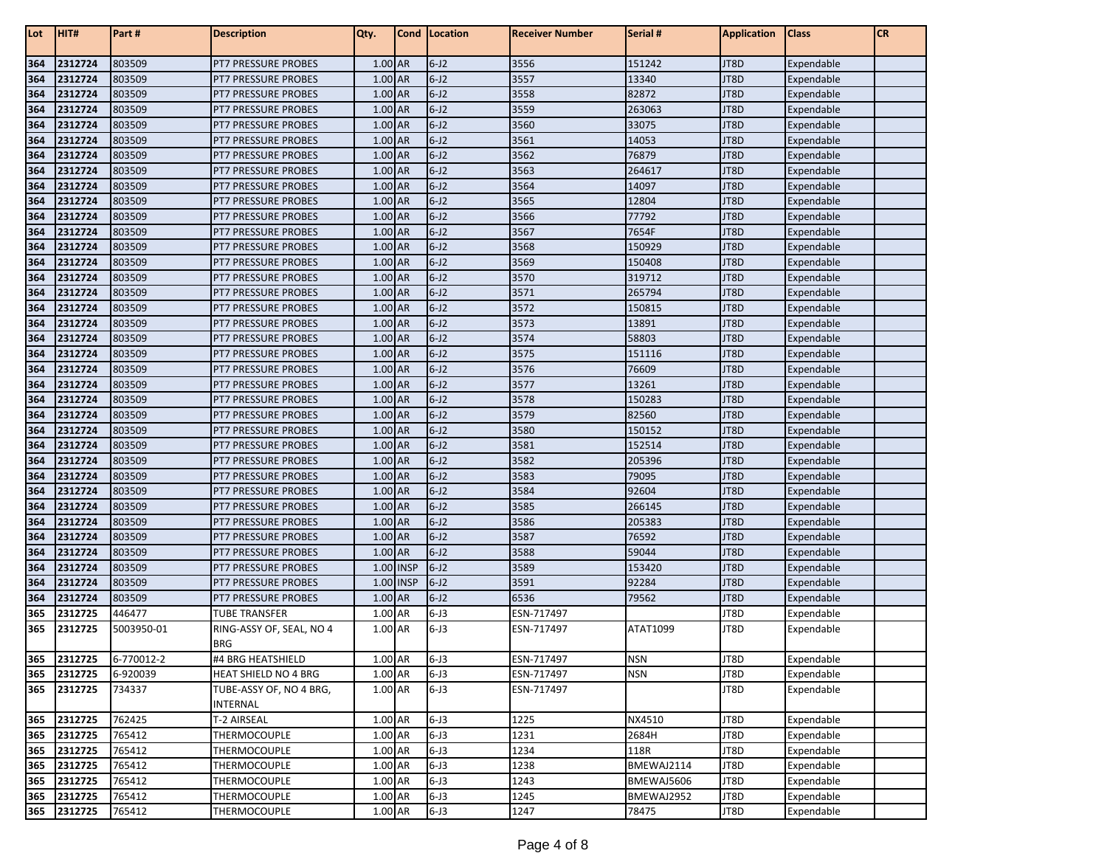| Lot | HIT#        | Part #     | <b>Description</b>                     | Qty.                 | Cond      | Location | Receiver Number | Serial #   | <b>Application</b> | <b>Class</b> | <b>CR</b> |
|-----|-------------|------------|----------------------------------------|----------------------|-----------|----------|-----------------|------------|--------------------|--------------|-----------|
| 364 | 2312724     | 803509     | PT7 PRESSURE PROBES                    | 1.00 AR              |           | $6 - J2$ | 3556            | 151242     | JT8D               | Expendable   |           |
| 364 | 2312724     | 803509     | <b>PT7 PRESSURE PROBES</b>             | 1.00 AR              |           | $6 - J2$ | 3557            | 13340      | JT8D               | Expendable   |           |
| 364 | 2312724     | 803509     | <b>PT7 PRESSURE PROBES</b>             | 1.00 AR              |           | $6 - J2$ | 3558            | 82872      | JT8D               | Expendable   |           |
| 364 | 2312724     | 803509     | <b>PT7 PRESSURE PROBES</b>             | 1.00 AR              |           | $6 - J2$ | 3559            | 263063     | JT8D               | Expendable   |           |
| 364 | 2312724     | 803509     | <b>PT7 PRESSURE PROBES</b>             | 1.00 AR              |           | $6 - J2$ | 3560            | 33075      | JT8D               | Expendable   |           |
| 364 | 2312724     | 803509     | <b>PT7 PRESSURE PROBES</b>             | 1.00 AR              |           | $6 - J2$ | 3561            | 14053      | JT8D               | Expendable   |           |
| 364 | 2312724     | 803509     | <b>PT7 PRESSURE PROBES</b>             | 1.00 AR              |           | $6 - J2$ | 3562            | 76879      | JT8D               | Expendable   |           |
| 364 | 2312724     | 803509     | <b>PT7 PRESSURE PROBES</b>             | 1.00 AR              |           | $6 - J2$ | 3563            | 264617     | JT8D               | Expendable   |           |
| 364 | 2312724     | 803509     | <b>PT7 PRESSURE PROBES</b>             | 1.00 AR              |           | $6 - J2$ | 3564            | 14097      | JT8D               | Expendable   |           |
| 364 | 2312724     | 803509     | <b>PT7 PRESSURE PROBES</b>             | 1.00 AR              |           | $6 - J2$ | 3565            | 12804      | JT8D               | Expendable   |           |
| 364 | 2312724     | 803509     | <b>PT7 PRESSURE PROBES</b>             | 1.00 AR              |           | $6 - J2$ | 3566            | 77792      | JT8D               | Expendable   |           |
| 364 | 2312724     | 803509     | <b>PT7 PRESSURE PROBES</b>             | 1.00 AR              |           | $6 - J2$ | 3567            | 7654F      | JT8D               | Expendable   |           |
| 364 | 2312724     | 803509     | <b>PT7 PRESSURE PROBES</b>             | 1.00 AR              |           | $6 - J2$ | 3568            | 150929     | JT8D               | Expendable   |           |
| 364 | 2312724     | 803509     | <b>PT7 PRESSURE PROBES</b>             | 1.00 AR              |           | $6 - J2$ | 3569            | 150408     | JT8D               | Expendable   |           |
| 364 | 2312724     | 803509     | <b>PT7 PRESSURE PROBES</b>             | 1.00 AR              |           | $6 - J2$ | 3570            | 319712     | JT8D               | Expendable   |           |
| 364 | 2312724     | 803509     | <b>PT7 PRESSURE PROBES</b>             | 1.00 AR              |           | $6 - J2$ | 3571            | 265794     | JT8D               | Expendable   |           |
| 364 | 2312724     | 803509     | <b>PT7 PRESSURE PROBES</b>             | 1.00 AR              |           | $6 - J2$ | 3572            | 150815     | JT8D               | Expendable   |           |
| 364 | 2312724     | 803509     | <b>PT7 PRESSURE PROBES</b>             | 1.00 AR              |           | $6 - J2$ | 3573            | 13891      | JT8D               | Expendable   |           |
| 364 | 2312724     | 803509     | <b>PT7 PRESSURE PROBES</b>             | 1.00 AR              |           | $6 - J2$ | 3574            | 58803      | JT8D               | Expendable   |           |
| 364 | 2312724     | 803509     | <b>PT7 PRESSURE PROBES</b>             | 1.00 AR              |           | $6 - J2$ | 3575            | 151116     | JT8D               | Expendable   |           |
| 364 | 2312724     | 803509     | <b>PT7 PRESSURE PROBES</b>             | 1.00 AR              |           | $6 - J2$ | 3576            | 76609      | JT8D               | Expendable   |           |
| 364 | 2312724     | 803509     | <b>PT7 PRESSURE PROBES</b>             | 1.00 AR              |           | $6 - J2$ | 3577            | 13261      | JT8D               | Expendable   |           |
| 364 | 2312724     | 803509     | <b>PT7 PRESSURE PROBES</b>             | 1.00 AR              |           | $6 - J2$ | 3578            | 150283     | JT8D               | Expendable   |           |
| 364 | 2312724     | 803509     | <b>PT7 PRESSURE PROBES</b>             | 1.00 AR              |           | $6 - J2$ | 3579            | 82560      | JT8D               | Expendable   |           |
| 364 | 2312724     | 803509     | PT7 PRESSURE PROBES                    | 1.00 AR              |           | $6 - J2$ | 3580            | 150152     | JT8D               | Expendable   |           |
| 364 | 2312724     | 803509     | <b>PT7 PRESSURE PROBES</b>             | 1.00 AR              |           | $6 - J2$ | 3581            | 152514     | JT8D               | Expendable   |           |
| 364 | 2312724     | 803509     | <b>PT7 PRESSURE PROBES</b>             | 1.00 AR              |           | $6 - J2$ | 3582            | 205396     | JT8D               | Expendable   |           |
| 364 | 2312724     | 803509     | <b>PT7 PRESSURE PROBES</b>             | 1.00 AR              |           | $6 - J2$ | 3583            | 79095      | JT8D               | Expendable   |           |
| 364 | 2312724     | 803509     | <b>PT7 PRESSURE PROBES</b>             | 1.00 AR              |           | $6 - J2$ | 3584            | 92604      | JT8D               | Expendable   |           |
| 364 | 2312724     | 803509     | <b>PT7 PRESSURE PROBES</b>             | 1.00 AR              |           | $6 - J2$ | 3585            | 266145     | JT8D               | Expendable   |           |
| 364 | 2312724     | 803509     | <b>PT7 PRESSURE PROBES</b>             | 1.00 AR              |           | $6 - J2$ | 3586            | 205383     | JT8D               | Expendable   |           |
| 364 | 2312724     | 803509     | <b>PT7 PRESSURE PROBES</b>             | 1.00 AR              |           | $6 - J2$ | 3587            | 76592      | JT8D               | Expendable   |           |
| 364 | 2312724     | 803509     | <b>PT7 PRESSURE PROBES</b>             | 1.00 AR              |           | $6 - J2$ | 3588            | 59044      | JT8D               | Expendable   |           |
| 364 | 2312724     | 803509     | <b>PT7 PRESSURE PROBES</b>             |                      | 1.00 INSP | $6 - J2$ | 3589            | 153420     | JT8D               | Expendable   |           |
| 364 | 2312724     | 803509     | <b>PT7 PRESSURE PROBES</b>             |                      | 1.00 INSP | $6 - J2$ | 3591            | 92284      | JT8D               | Expendable   |           |
| 364 | 2312724     | 803509     | PT7 PRESSURE PROBES                    | $1.00$ AR            |           | $6 - J2$ | 6536            | 79562      | JT8D               | Expendable   |           |
| 365 | 2312725     | 446477     | TUBE TRANSFER                          | 1.00 AR              |           | $6 - J3$ | ESN-717497      |            | JT8D               | Expendable   |           |
| 365 | 2312725     | 5003950-01 | RING-ASSY OF, SEAL, NO 4<br><b>BRG</b> | 1.00 AR              |           | $6 - J3$ | ESN-717497      | ATAT1099   | JT8D               | Expendable   |           |
|     | 365 2312725 | 6-770012-2 | #4 BRG HEATSHIELD                      | 1.00 AR              |           | $6 - J3$ | ESN-717497      | <b>NSN</b> | JT8D               | Expendable   |           |
| 365 | 2312725     | 6-920039   | <b>HEAT SHIELD NO 4 BRG</b>            | 1.00 AR              |           | $6 - J3$ | ESN-717497      | <b>NSN</b> | JT8D               | Expendable   |           |
| 365 | 2312725     | 734337     | TUBE-ASSY OF, NO 4 BRG,                | 1.00 AR              |           | $6 - J3$ | ESN-717497      |            | JT8D               | Expendable   |           |
|     |             |            | INTERNAL                               |                      |           |          |                 |            |                    |              |           |
| 365 | 2312725     | 762425     | T-2 AIRSEAL                            | 1.00 AR              |           | $6 - J3$ | 1225            | NX4510     | JT8D               | Expendable   |           |
| 365 | 2312725     | 765412     | THERMOCOUPLE                           | 1.00 AR              |           | $6 - J3$ | 1231            | 2684H      | JT8D               | Expendable   |           |
| 365 | 2312725     | 765412     | THERMOCOUPLE                           | 1.00 AR              |           | $6 - J3$ | 1234            | 118R       | JT8D               | Expendable   |           |
| 365 | 2312725     | 765412     | THERMOCOUPLE                           | $\overline{1.00}$ AR |           | $6 - J3$ | 1238            | BMEWAJ2114 | JT8D               | Expendable   |           |
| 365 | 2312725     | 765412     | THERMOCOUPLE                           | 1.00 AR              |           | $6 - J3$ | 1243            | BMEWAJ5606 | JT8D               | Expendable   |           |
| 365 | 2312725     | 765412     | THERMOCOUPLE                           | 1.00 AR              |           | $6 - J3$ | 1245            | BMEWAJ2952 | JT8D               | Expendable   |           |
|     | 365 2312725 | 765412     | <b>THERMOCOUPLE</b>                    | 1.00 AR              |           | $6 - J3$ | 1247            | 78475      | JT8D               | Expendable   |           |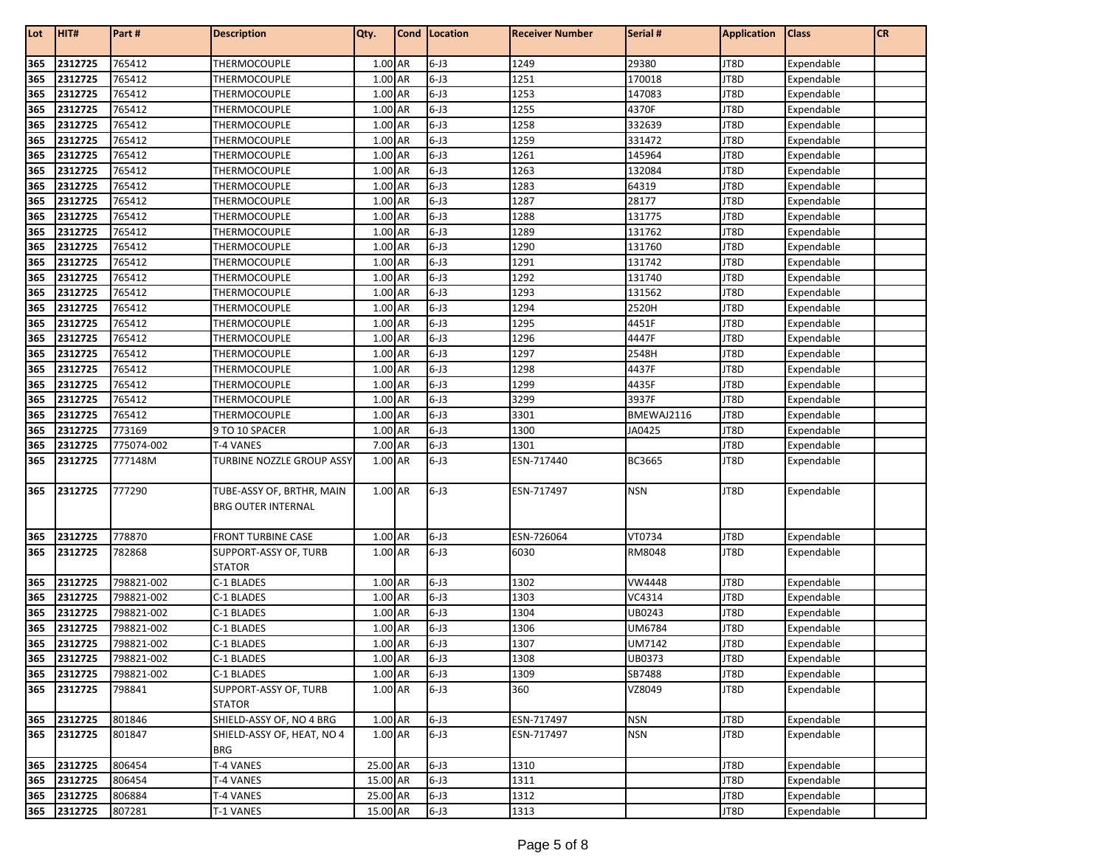| Lot | HIT#        | Part #     | <b>Description</b>                                     | Qty.     | Cond   Location | <b>Receiver Number</b> | Serial #      | <b>Application</b> | <b>Class</b> | <b>CR</b> |
|-----|-------------|------------|--------------------------------------------------------|----------|-----------------|------------------------|---------------|--------------------|--------------|-----------|
| 365 | 2312725     | 765412     | THERMOCOUPLE                                           | 1.00 AR  | $6 - J3$        | 1249                   | 29380         | JT8D               | Expendable   |           |
| 365 | 2312725     | 765412     | THERMOCOUPLE                                           | 1.00 AR  | $6 - J3$        | 1251                   | 170018        | JT8D               | Expendable   |           |
| 365 | 2312725     | 765412     | THERMOCOUPLE                                           | 1.00 AR  | $6 - J3$        | 1253                   | 147083        | JT8D               | Expendable   |           |
| 365 | 2312725     | 765412     | THERMOCOUPLE                                           | 1.00 AR  | $6 - J3$        | 1255                   | 4370F         | JT8D               | Expendable   |           |
| 365 | 2312725     | 765412     | THERMOCOUPLE                                           | 1.00 AR  | $6 - J3$        | 1258                   | 332639        | JT8D               | Expendable   |           |
| 365 | 2312725     | 765412     | THERMOCOUPLE                                           | 1.00 AR  | $6 - J3$        | 1259                   | 331472        | JT8D               | Expendable   |           |
| 365 | 2312725     | 765412     | THERMOCOUPLE                                           | 1.00 AR  | $6 - J3$        | 1261                   | 145964        | JT8D               | Expendable   |           |
| 365 | 2312725     | 765412     | THERMOCOUPLE                                           | 1.00 AR  | $6 - J3$        | 1263                   | 132084        | JT8D               | Expendable   |           |
| 365 | 2312725     | 765412     | THERMOCOUPLE                                           | 1.00 AR  | $6 - J3$        | 1283                   | 64319         | JT8D               | Expendable   |           |
| 365 | 2312725     | 765412     | THERMOCOUPLE                                           | 1.00 AR  | $6 - J3$        | 1287                   | 28177         | JT8D               | Expendable   |           |
| 365 | 2312725     | 765412     | <b>THERMOCOUPLE</b>                                    | 1.00 AR  | $6 - J3$        | 1288                   | 131775        | JT8D               | Expendable   |           |
| 365 | 2312725     | 765412     | THERMOCOUPLE                                           | 1.00 AR  | $6 - J3$        | 1289                   | 131762        | JT8D               | Expendable   |           |
| 365 | 2312725     | 765412     | THERMOCOUPLE                                           | 1.00 AR  | $6 - J3$        | 1290                   | 131760        | JT8D               | Expendable   |           |
| 365 | 2312725     | 765412     | THERMOCOUPLE                                           | 1.00 AR  | $6 - J3$        | 1291                   | 131742        | JT8D               | Expendable   |           |
| 365 | 2312725     | 765412     | THERMOCOUPLE                                           | 1.00 AR  | $6 - J3$        | 1292                   | 131740        | JT8D               | Expendable   |           |
| 365 | 2312725     | 765412     | THERMOCOUPLE                                           | 1.00 AR  | $6 - J3$        | 1293                   | 131562        | JT8D               | Expendable   |           |
| 365 | 2312725     | 765412     | THERMOCOUPLE                                           | 1.00 AR  | $6 - J3$        | 1294                   | 2520H         | JT8D               | Expendable   |           |
| 365 | 2312725     | 765412     | THERMOCOUPLE                                           | 1.00 AR  | $6 - J3$        | 1295                   | 4451F         | JT8D               | Expendable   |           |
| 365 | 2312725     | 765412     | THERMOCOUPLE                                           | 1.00 AR  | $6 - J3$        | 1296                   | 4447F         | JT8D               | Expendable   |           |
| 365 | 2312725     | 765412     | THERMOCOUPLE                                           | 1.00 AR  | $6 - J3$        | 1297                   | 2548H         | JT8D               | Expendable   |           |
| 365 | 2312725     | 765412     | THERMOCOUPLE                                           | 1.00 AR  | $6 - J3$        | 1298                   | 4437F         | JT8D               | Expendable   |           |
| 365 | 2312725     | 765412     | THERMOCOUPLE                                           | 1.00 AR  | $6 - J3$        | 1299                   | 4435F         | JT8D               | Expendable   |           |
| 365 | 2312725     | 765412     | THERMOCOUPLE                                           | 1.00 AR  | $6 - J3$        | 3299                   | 3937F         | JT8D               | Expendable   |           |
| 365 | 2312725     | 765412     | THERMOCOUPLE                                           | 1.00 AR  | $6 - J3$        | 3301                   | BMEWAJ2116    | JT8D               | Expendable   |           |
| 365 | 2312725     | 773169     | 9 TO 10 SPACER                                         | 1.00 AR  | $6 - J3$        | 1300                   | JA0425        | JT8D               | Expendable   |           |
| 365 | 2312725     | 775074-002 | T-4 VANES                                              | 7.00 AR  | $6 - J3$        | 1301                   |               | JT8D               | Expendable   |           |
| 365 | 2312725     | 777148M    | TURBINE NOZZLE GROUP ASSY                              | 1.00 AR  | $6 - J3$        | ESN-717440             | BC3665        | JT8D               | Expendable   |           |
| 365 | 2312725     | 777290     | TUBE-ASSY OF, BRTHR, MAIN<br><b>BRG OUTER INTERNAL</b> | 1.00 AR  | $6 - J3$        | ESN-717497             | <b>NSN</b>    | JT8D               | Expendable   |           |
| 365 | 2312725     | 778870     | <b>FRONT TURBINE CASE</b>                              | 1.00 AR  | $6 - J3$        | ESN-726064             | VT0734        | JT8D               | Expendable   |           |
| 365 | 2312725     | 782868     | SUPPORT-ASSY OF, TURB                                  | 1.00 AR  | $6 - J3$        | 6030                   | RM8048        | JT8D               | Expendable   |           |
|     |             |            | <b>STATOR</b>                                          |          |                 |                        |               |                    |              |           |
| 365 | 2312725     | 798821-002 | C-1 BLADES                                             | 1.00 AR  | $6 - J3$        | 1302                   | <b>VW4448</b> | JT8D               | Expendable   |           |
| 365 | 2312725     | 798821-002 | C-1 BLADES                                             | 1.00 AR  | $6 - J3$        | 1303                   | VC4314        | JT8D               | Expendable   |           |
| 365 | 2312725     | 798821-002 | C-1 BLADES                                             | 1.00 AR  | $6 - J3$        | 1304                   | UB0243        | JT8D               | Expendable   |           |
| 365 | 2312725     | 798821-002 | C-1 BLADES                                             | 1.00 AR  | $6 - J3$        | 1306                   | UM6784        | JT8D               | Expendable   |           |
| 365 | 2312725     | 798821-002 | C-1 BLADES                                             | 1.00 AR  | $6 - J3$        | 1307                   | UM7142        | JT8D               | Expendable   |           |
| 365 | 2312725     | 798821-002 | C-1 BLADES                                             | 1.00 AR  | $6 - J3$        | 1308                   | UB0373        | JT8D               | Expendable   |           |
| 365 | 2312725     | 798821-002 | C-1 BLADES                                             | 1.00 AR  | $6 - J3$        | 1309                   | SB7488        | JT8D               | Expendable   |           |
| 365 | 2312725     | 798841     | SUPPORT-ASSY OF, TURB<br><b>STATOR</b>                 | 1.00 AR  | $6 - J3$        | 360                    | VZ8049        | JT8D               | Expendable   |           |
| 365 | 2312725     | 801846     | SHIELD-ASSY OF, NO 4 BRG                               | 1.00 AR  | $6 - J3$        | ESN-717497             | <b>NSN</b>    | JT8D               | Expendable   |           |
| 365 | 2312725     | 801847     | SHIELD-ASSY OF, HEAT, NO 4<br><b>BRG</b>               | 1.00 AR  | $6 - J3$        | ESN-717497             | <b>NSN</b>    | JT8D               | Expendable   |           |
| 365 | 2312725     | 806454     | T-4 VANES                                              | 25.00 AR | $6 - J3$        | 1310                   |               | JT8D               | Expendable   |           |
| 365 | 2312725     | 806454     | T-4 VANES                                              | 15.00 AR | $6 - J3$        | 1311                   |               | JT8D               | Expendable   |           |
| 365 | 2312725     | 806884     | T-4 VANES                                              | 25.00 AR | $6 - J3$        | 1312                   |               | JT8D               | Expendable   |           |
|     | 365 2312725 | 807281     | T-1 VANES                                              | 15.00 AR | $6 - J3$        | 1313                   |               | JT8D               | Expendable   |           |
|     |             |            |                                                        |          |                 |                        |               |                    |              |           |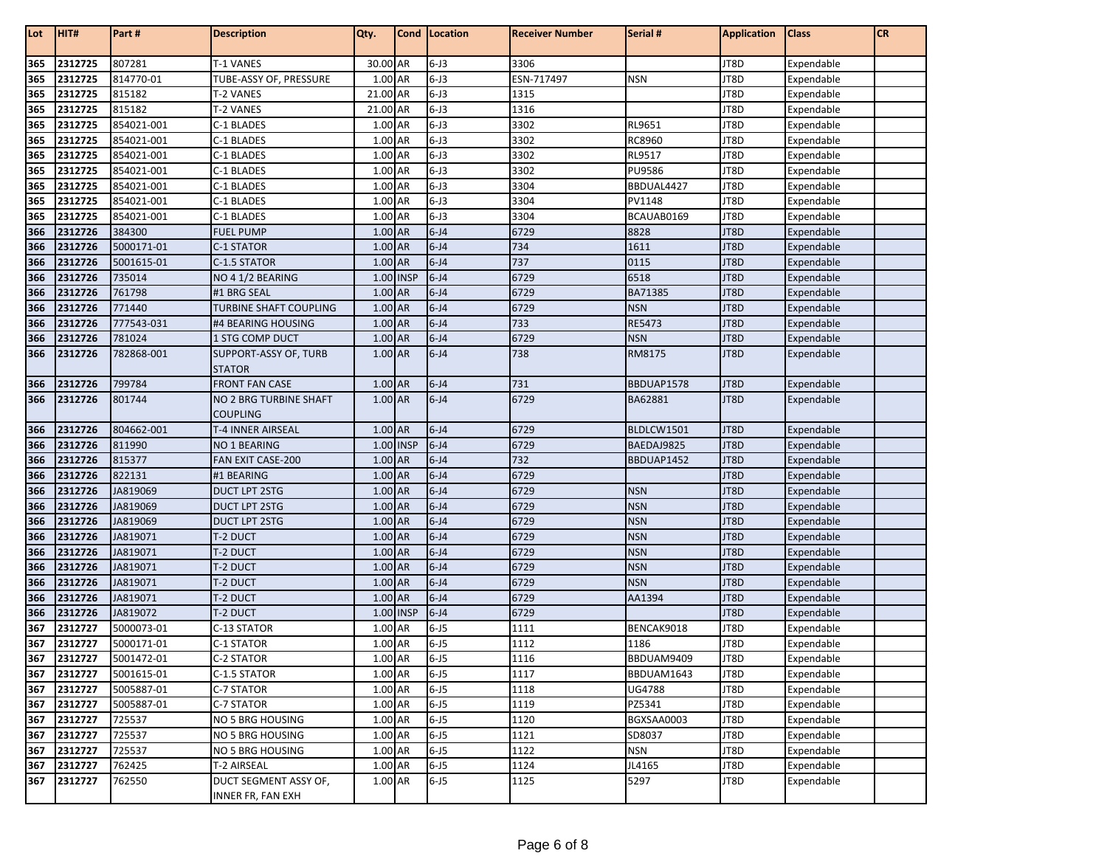| Lot        | HIT#               | Part#                    | <b>Description</b>                         | Qty.               | Cond   Location      | <b>Receiver Number</b> | Serial #         | <b>Application</b> | <b>Class</b>             | <b>CR</b> |
|------------|--------------------|--------------------------|--------------------------------------------|--------------------|----------------------|------------------------|------------------|--------------------|--------------------------|-----------|
|            |                    |                          |                                            |                    |                      |                        |                  |                    |                          |           |
| 365        | 2312725            | 807281                   | T-1 VANES                                  | 30.00 AR           | $6 - J3$             | 3306                   |                  | JT8D               | Expendable               |           |
| 365        | 2312725            | 814770-01                | TUBE-ASSY OF, PRESSURE                     | 1.00 AR            | $6 - J3$             | ESN-717497             | <b>NSN</b>       | JT8D               | Expendable               |           |
| 365        | 2312725            | 815182                   | T-2 VANES                                  | 21.00 AR           | $6 - J3$             | 1315                   |                  | JT8D               | Expendable               |           |
| 365        | 2312725            | 815182                   | T-2 VANES                                  | 21.00 AR           | $6 - J3$             | 1316                   |                  | JT8D               | Expendable               |           |
| 365        | 2312725            | 854021-001               | C-1 BLADES                                 | 1.00 AR            | $6 - J3$             | 3302                   | RL9651           | JT8D               | Expendable               |           |
| 365        | 2312725            | 854021-001               | C-1 BLADES                                 | 1.00 AR            | $6 - J3$             | 3302                   | RC8960           | JT8D               | Expendable               |           |
| 365        | 2312725<br>2312725 | 854021-001               | C-1 BLADES                                 | 1.00 AR<br>1.00 AR | $6 - J3$<br>$6 - J3$ | 3302<br>3302           | RL9517<br>PU9586 | JT8D               | Expendable               |           |
| 365<br>365 | 2312725            | 854021-001<br>854021-001 | C-1 BLADES                                 | 1.00 AR            | $6 - J3$             | 3304                   | BBDUAL4427       | JT8D<br>JT8D       | Expendable<br>Expendable |           |
| 365        | 2312725            | 854021-001               | C-1 BLADES<br>C-1 BLADES                   | 1.00 AR            | $6 - J3$             | 3304                   | PV1148           | JT8D               | Expendable               |           |
| 365        | 2312725            | 854021-001               | C-1 BLADES                                 | 1.00 AR            | $6 - J3$             | 3304                   | BCAUAB0169       | JT8D               | Expendable               |           |
| 366        | 2312726            | 384300                   | <b>FUEL PUMP</b>                           | 1.00 AR            | $6 - J4$             | 6729                   | 8828             | JT8D               | Expendable               |           |
| 366        | 2312726            | 5000171-01               | C-1 STATOR                                 | 1.00 AR            | $6 - J4$             | 734                    | 1611             | JT8D               | Expendable               |           |
| 366        | 2312726            | 5001615-01               | C-1.5 STATOR                               | 1.00 AR            | $6 - J4$             | 737                    | 0115             | JT8D               | Expendable               |           |
| 366        | 2312726            | 735014                   | NO 4 1/2 BEARING                           | 1.00 INSP          | $6 - J4$             | 6729                   | 6518             | JT8D               | Expendable               |           |
| 366        | 2312726            | 761798                   | #1 BRG SEAL                                | 1.00 AR            | $6 - J4$             | 6729                   | BA71385          | JT8D               | Expendable               |           |
| 366        | 2312726            | 771440                   | TURBINE SHAFT COUPLING                     | 1.00 AR            | $6 - J4$             | 6729                   | <b>NSN</b>       | JT8D               | Expendable               |           |
| 366        | 2312726            | 777543-031               | #4 BEARING HOUSING                         | 1.00 AR            | $6 - J4$             | 733                    | <b>RE5473</b>    | JT8D               | Expendable               |           |
| 366        | 2312726            | 781024                   | 1 STG COMP DUCT                            | 1.00 AR            | $6 - J4$             | 6729                   | <b>NSN</b>       | JT8D               | Expendable               |           |
| 366        | 2312726            | 782868-001               | SUPPORT-ASSY OF, TURB                      | 1.00 AR            | $6 - J4$             | 738                    | RM8175           | JT8D               | Expendable               |           |
|            |                    |                          | <b>STATOR</b>                              |                    |                      |                        |                  |                    |                          |           |
| 366        | 2312726            | 799784                   | <b>FRONT FAN CASE</b>                      | 1.00 AR            | $6 - J4$             | 731                    | BBDUAP1578       | JT8D               | Expendable               |           |
| 366        | 2312726            | 801744                   | NO 2 BRG TURBINE SHAFT                     | 1.00 AR            | $6 - 14$             | 6729                   | BA62881          | JT8D               | Expendable               |           |
|            |                    |                          | <b>COUPLING</b>                            |                    |                      |                        |                  |                    |                          |           |
| 366        | 2312726            | 804662-001               | T-4 INNER AIRSEAL                          | $1.00$ AR          | $6 - J4$             | 6729                   | BLDLCW1501       | JT8D               | Expendable               |           |
| 366        | 2312726            | 811990                   | NO 1 BEARING                               | 1.00 INSP          | $6 - 14$             | 6729                   | BAEDAJ9825       | JT8D               | Expendable               |           |
| 366        | 2312726            | 815377                   | FAN EXIT CASE-200                          | 1.00 AR            | $6 - J4$             | 732                    | BBDUAP1452       | JT8D               | Expendable               |           |
| 366        | 2312726            | 822131                   | #1 BEARING                                 | 1.00 AR            | $6 - J4$             | 6729                   |                  | JT8D               | Expendable               |           |
| 366        | 2312726            | JA819069                 | DUCT LPT 2STG                              | 1.00 AR            | $6 - J4$             | 6729                   | <b>NSN</b>       | JT8D               | Expendable               |           |
| 366        | 2312726            | JA819069                 | DUCT LPT 2STG                              | 1.00 AR            | $6 - J4$             | 6729                   | <b>NSN</b>       | JT8D               | Expendable               |           |
| 366        | 2312726            | JA819069                 | <b>DUCT LPT 2STG</b>                       | 1.00 AR            | $6 - J4$             | 6729                   | <b>NSN</b>       | JT8D               | Expendable               |           |
| 366        | 2312726            | JA819071                 | <b>T-2 DUCT</b>                            | 1.00 AR            | $6 - J4$             | 6729                   | <b>NSN</b>       | JT8D               | Expendable               |           |
| 366        | 2312726            | JA819071                 | T-2 DUCT                                   | 1.00 AR            | $6 - 14$             | 6729                   | <b>NSN</b>       | JT8D               | Expendable               |           |
| 366        | 2312726            | JA819071                 | T-2 DUCT                                   | 1.00 AR            | $6 - J4$             | 6729                   | <b>NSN</b>       | JT8D               | Expendable               |           |
| 366        | 2312726            | JA819071                 | <b>T-2 DUCT</b>                            | 1.00 AR            | $6 - J4$             | 6729                   | <b>NSN</b>       | JT8D               | Expendable               |           |
| 366        | 2312726            | JA819071                 | T-2 DUCT                                   | 1.00 AR            | $6 - J4$             | 6729                   | AA1394           | JT8D               | Expendable               |           |
| 366        | 2312726            | JA819072                 | T-2 DUCT                                   | 1.00 INSP          | $6 - J4$             | 6729                   |                  | JT8D               | Expendable               |           |
| 367        | 2312727            | 5000073-01               | C-13 STATOR                                | 1.00 AR            | $6 - J5$             | 1111                   | BENCAK9018       | JT8D               | Expendable               |           |
| 367        | 2312727            | 5000171-01               | C-1 STATOR                                 | 1.00 AR            | $6 - J5$             | 1112                   | 1186             | JT8D               | Expendable               |           |
| 367        | 2312727            | 5001472-01               | C-2 STATOR                                 | 1.00 AR            | $6 - J5$             | 1116                   | BBDUAM9409       | JT8D               | Expendable               |           |
| 367        | 2312727            | 5001615-01               | C-1.5 STATOR                               | 1.00 AR            | $6 - 15$             | 1117                   | BBDUAM1643       | JT8D               | Expendable               |           |
| 367        | 2312727            | 5005887-01               | C-7 STATOR                                 | 1.00 AR            | $6 - 15$             | 1118                   | UG4788           | JT8D               | Expendable               |           |
| 367        | 2312727            | 5005887-01               | C-7 STATOR                                 | 1.00 AR            | $6 - J5$             | 1119                   | PZ5341           | JT8D               | Expendable               |           |
| 367        | 2312727            | 725537                   | NO 5 BRG HOUSING                           | 1.00 AR            | $6 - 15$             | 1120                   | BGXSAA0003       | JT8D               | Expendable               |           |
| 367        | 2312727            | 725537                   | <b>NO 5 BRG HOUSING</b>                    | 1.00 AR            | $6 - J5$             | 1121                   | SD8037           | JT8D               | Expendable               |           |
| 367        | 2312727            | 725537                   | NO 5 BRG HOUSING                           | 1.00 AR            | $6 - J5$             | 1122                   | <b>NSN</b>       | JT8D               | Expendable               |           |
| 367        | 2312727            | 762425                   | T-2 AIRSEAL                                | 1.00 AR            | $6 - 15$             | 1124                   | JL4165           | JT8D               | Expendable               |           |
| 367        | 2312727            | 762550                   | DUCT SEGMENT ASSY OF,<br>INNER FR, FAN EXH | 1.00 AR            | $6 - 15$             | 1125                   | 5297             | JT8D               | Expendable               |           |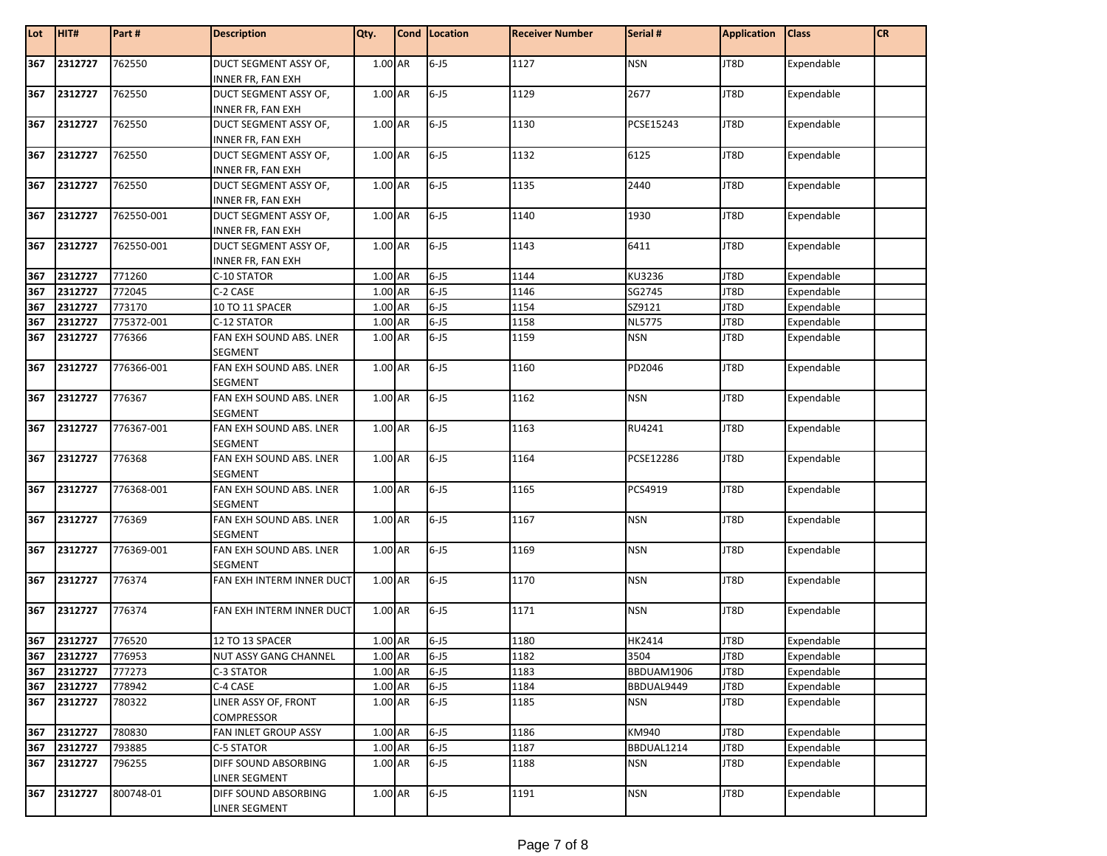| Lot | HIT#        | Part#      | <b>Description</b>                                | Qty.    | Cond Location | <b>Receiver Number</b> | Serial #      | <b>Application</b> | <b>Class</b> | <b>CR</b> |
|-----|-------------|------------|---------------------------------------------------|---------|---------------|------------------------|---------------|--------------------|--------------|-----------|
| 367 | 2312727     | 762550     | DUCT SEGMENT ASSY OF,<br><b>INNER FR, FAN EXH</b> | 1.00 AR | $6 - 15$      | 1127                   | <b>NSN</b>    | JT8D               | Expendable   |           |
| 367 | 2312727     | 762550     | DUCT SEGMENT ASSY OF,<br>INNER FR, FAN EXH        | 1.00 AR | $6 - 15$      | 1129                   | 2677          | JT8D               | Expendable   |           |
| 367 | 2312727     | 762550     | DUCT SEGMENT ASSY OF,<br>INNER FR, FAN EXH        | 1.00 AR | $6 - 15$      | 1130                   | PCSE15243     | JT8D               | Expendable   |           |
| 367 | 2312727     | 762550     | DUCT SEGMENT ASSY OF,<br><b>INNER FR, FAN EXH</b> | 1.00 AR | $6 - 15$      | 1132                   | 6125          | JT8D               | Expendable   |           |
| 367 | 2312727     | 762550     | DUCT SEGMENT ASSY OF,<br>INNER FR, FAN EXH        | 1.00 AR | $6 - J5$      | 1135                   | 2440          | JT8D               | Expendable   |           |
| 367 | 2312727     | 762550-001 | DUCT SEGMENT ASSY OF,<br><b>INNER FR, FAN EXH</b> | 1.00 AR | $6 - 15$      | 1140                   | 1930          | JT8D               | Expendable   |           |
| 367 | 2312727     | 762550-001 | DUCT SEGMENT ASSY OF,<br>INNER FR, FAN EXH        | 1.00 AR | $6 - 15$      | 1143                   | 6411          | JT8D               | Expendable   |           |
| 367 | 2312727     | 771260     | C-10 STATOR                                       | 1.00 AR | $6 - 15$      | 1144                   | KU3236        | JT8D               | Expendable   |           |
| 367 | 2312727     | 772045     | C-2 CASE                                          | 1.00 AR | $6 - J5$      | 1146                   | SG2745        | JT8D               | Expendable   |           |
| 367 | 2312727     | 773170     | 10 TO 11 SPACER                                   | 1.00 AR | $6 - J5$      | 1154                   | SZ9121        | JT8D               | Expendable   |           |
| 367 | 2312727     | 775372-001 | C-12 STATOR                                       | 1.00 AR | $6 - J5$      | 1158                   | <b>NL5775</b> | JT8D               | Expendable   |           |
| 367 | 2312727     | 776366     | FAN EXH SOUND ABS. LNER<br><b>SEGMENT</b>         | 1.00 AR | $6 - J5$      | 1159                   | <b>NSN</b>    | JT8D               | Expendable   |           |
| 367 | 2312727     | 776366-001 | FAN EXH SOUND ABS. LNER<br><b>SEGMENT</b>         | 1.00 AR | $6 - J5$      | 1160                   | PD2046        | JT8D               | Expendable   |           |
| 367 | 2312727     | 776367     | FAN EXH SOUND ABS. LNER<br><b>SEGMENT</b>         | 1.00 AR | $6 - 15$      | 1162                   | <b>NSN</b>    | JT8D               | Expendable   |           |
| 367 | 2312727     | 776367-001 | FAN EXH SOUND ABS. LNER<br><b>SEGMENT</b>         | 1.00 AR | $6 - J5$      | 1163                   | RU4241        | JT8D               | Expendable   |           |
| 367 | 2312727     | 776368     | FAN EXH SOUND ABS. LNER<br><b>SEGMENT</b>         | 1.00 AR | $6 - J5$      | 1164                   | PCSE12286     | JT8D               | Expendable   |           |
| 367 | 2312727     | 776368-001 | FAN EXH SOUND ABS. LNER<br><b>SEGMENT</b>         | 1.00 AR | $6 - J5$      | 1165                   | PCS4919       | JT8D               | Expendable   |           |
| 367 | 2312727     | 776369     | FAN EXH SOUND ABS. LNER<br><b>SEGMENT</b>         | 1.00 AR | $6 - 15$      | 1167                   | <b>NSN</b>    | JT8D               | Expendable   |           |
| 367 | 2312727     | 776369-001 | FAN EXH SOUND ABS. LNER<br><b>SEGMENT</b>         | 1.00 AR | $6 - J5$      | 1169                   | <b>NSN</b>    | JT8D               | Expendable   |           |
| 367 | 2312727     | 776374     | FAN EXH INTERM INNER DUCT                         | 1.00 AR | $6 - J5$      | 1170                   | <b>NSN</b>    | JT8D               | Expendable   |           |
| 367 | 2312727     | 776374     | FAN EXH INTERM INNER DUCT                         | 1.00 AR | $6 - 15$      | 1171                   | <b>NSN</b>    | JT8D               | Expendable   |           |
| 367 | 2312727     | 776520     | 12 TO 13 SPACER                                   | 1.00 AR | $6 - J5$      | 1180                   | HK2414        | JT8D               | Expendable   |           |
|     | 367 2312727 | 776953     | <b>NUT ASSY GANG CHANNEL</b>                      | 1.00 AR | $6 - 15$      | 1182                   | 3504          | JT8D               | Expendable   |           |
| 367 | 2312727     | 777273     | C-3 STATOR                                        | 1.00 AR | $6 - J5$      | 1183                   | BBDUAM1906    | JT8D               | Expendable   |           |
| 367 | 2312727     | 778942     | C-4 CASE                                          | 1.00 AR | $6 - J5$      | 1184                   | BBDUAL9449    | JT8D               | Expendable   |           |
| 367 | 2312727     | 780322     | LINER ASSY OF, FRONT<br>COMPRESSOR                | 1.00 AR | $6 - J5$      | 1185                   | <b>NSN</b>    | JT8D               | Expendable   |           |
| 367 | 2312727     | 780830     | FAN INLET GROUP ASSY                              | 1.00 AR | $6 - J5$      | 1186                   | KM940         | JT8D               | Expendable   |           |
| 367 | 2312727     | 793885     | C-5 STATOR                                        | 1.00 AR | $6 - J5$      | 1187                   | BBDUAL1214    | JT8D               | Expendable   |           |
| 367 | 2312727     | 796255     | DIFF SOUND ABSORBING<br><b>LINER SEGMENT</b>      | 1.00 AR | $6 - J5$      | 1188                   | <b>NSN</b>    | JT8D               | Expendable   |           |
| 367 | 2312727     | 800748-01  | DIFF SOUND ABSORBING<br><b>LINER SEGMENT</b>      | 1.00 AR | $6 - J5$      | 1191                   | <b>NSN</b>    | JT8D               | Expendable   |           |